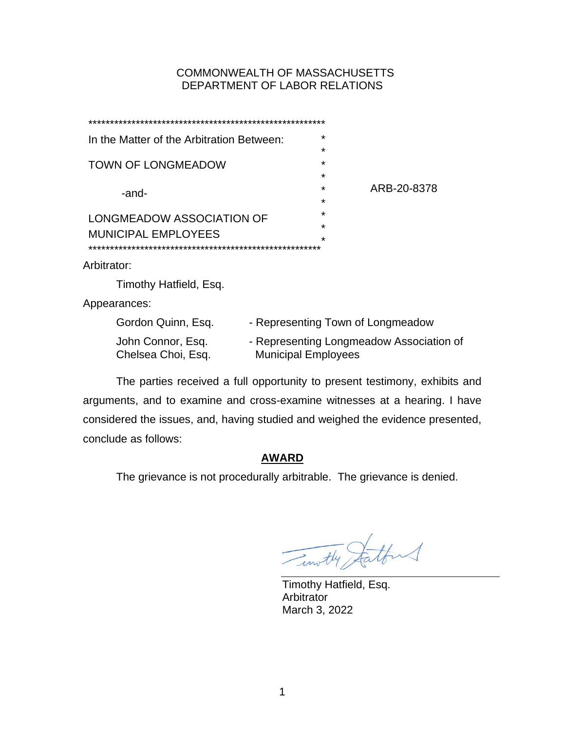# COMMONWEALTH OF MASSACHUSETTS DEPARTMENT OF LABOR RELATIONS

| In the Matter of the Arbitration Between:<br><b>TOWN OF LONGMEADOW</b> |                                         |                                   | $\star$                                                                |             |  |
|------------------------------------------------------------------------|-----------------------------------------|-----------------------------------|------------------------------------------------------------------------|-------------|--|
|                                                                        |                                         |                                   | $\star$                                                                |             |  |
|                                                                        |                                         |                                   | $\star$<br>*                                                           |             |  |
|                                                                        |                                         |                                   | *                                                                      | ARB-20-8378 |  |
|                                                                        | -and-                                   |                                   | $\star$                                                                |             |  |
| LONGMEADOW ASSOCIATION OF                                              |                                         |                                   | $\star$                                                                |             |  |
|                                                                        | <b>MUNICIPAL EMPLOYEES</b>              |                                   | $\star$                                                                |             |  |
|                                                                        |                                         |                                   | $\star$                                                                |             |  |
| Arbitrator:                                                            |                                         |                                   |                                                                        |             |  |
|                                                                        | Timothy Hatfield, Esq.                  |                                   |                                                                        |             |  |
|                                                                        | Appearances:                            |                                   |                                                                        |             |  |
|                                                                        | Gordon Quinn, Esq.                      | - Representing Town of Longmeadow |                                                                        |             |  |
|                                                                        | John Connor, Esq.<br>Chelsea Choi, Esq. |                                   | - Representing Longmeadow Association of<br><b>Municipal Employees</b> |             |  |
|                                                                        |                                         |                                   |                                                                        |             |  |

The parties received a full opportunity to present testimony, exhibits and arguments, and to examine and cross-examine witnesses at a hearing. I have considered the issues, and, having studied and weighed the evidence presented, conclude as follows:

# **AWARD**

The grievance is not procedurally arbitrable. The grievance is denied.

Timothy Stattens

Timothy Hatfield, Esq. **Arbitrator** March 3, 2022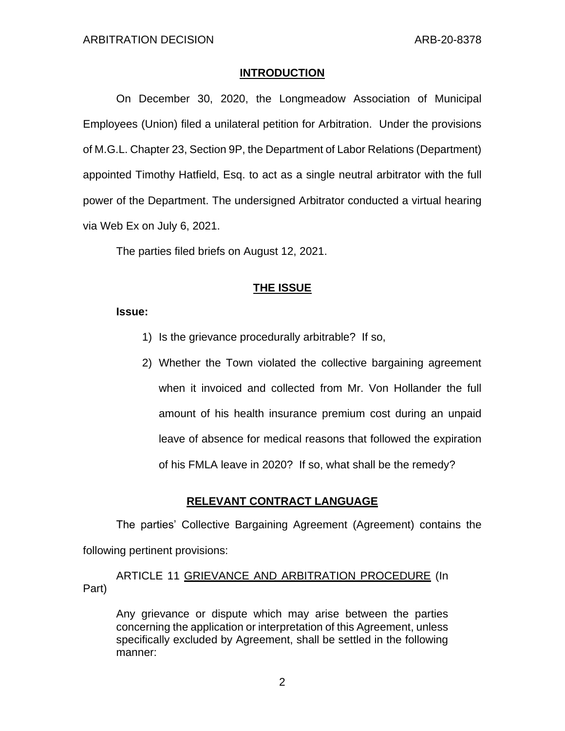### **INTRODUCTION**

On December 30, 2020, the Longmeadow Association of Municipal Employees (Union) filed a unilateral petition for Arbitration. Under the provisions of M.G.L. Chapter 23, Section 9P, the Department of Labor Relations (Department) appointed Timothy Hatfield, Esq. to act as a single neutral arbitrator with the full power of the Department. The undersigned Arbitrator conducted a virtual hearing via Web Ex on July 6, 2021.

The parties filed briefs on August 12, 2021.

## **THE ISSUE**

### **Issue:**

- 1) Is the grievance procedurally arbitrable? If so,
- 2) Whether the Town violated the collective bargaining agreement when it invoiced and collected from Mr. Von Hollander the full amount of his health insurance premium cost during an unpaid leave of absence for medical reasons that followed the expiration of his FMLA leave in 2020? If so, what shall be the remedy?

### **RELEVANT CONTRACT LANGUAGE**

The parties' Collective Bargaining Agreement (Agreement) contains the following pertinent provisions:

ARTICLE 11 GRIEVANCE AND ARBITRATION PROCEDURE (In Part)

Any grievance or dispute which may arise between the parties concerning the application or interpretation of this Agreement, unless specifically excluded by Agreement, shall be settled in the following manner: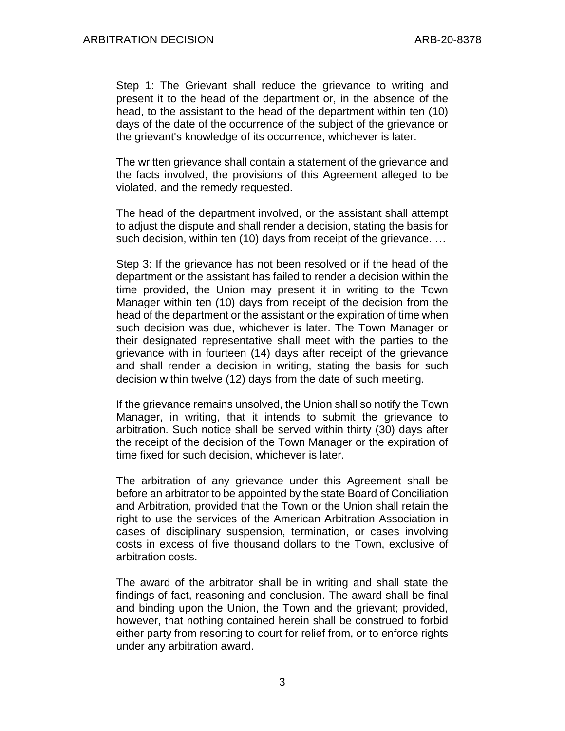Step 1: The Grievant shall reduce the grievance to writing and present it to the head of the department or, in the absence of the head, to the assistant to the head of the department within ten (10) days of the date of the occurrence of the subject of the grievance or the grievant's knowledge of its occurrence, whichever is later.

The written grievance shall contain a statement of the grievance and the facts involved, the provisions of this Agreement alleged to be violated, and the remedy requested.

The head of the department involved, or the assistant shall attempt to adjust the dispute and shall render a decision, stating the basis for such decision, within ten (10) days from receipt of the grievance. …

Step 3: If the grievance has not been resolved or if the head of the department or the assistant has failed to render a decision within the time provided, the Union may present it in writing to the Town Manager within ten (10) days from receipt of the decision from the head of the department or the assistant or the expiration of time when such decision was due, whichever is later. The Town Manager or their designated representative shall meet with the parties to the grievance with in fourteen (14) days after receipt of the grievance and shall render a decision in writing, stating the basis for such decision within twelve (12) days from the date of such meeting.

If the grievance remains unsolved, the Union shall so notify the Town Manager, in writing, that it intends to submit the grievance to arbitration. Such notice shall be served within thirty (30) days after the receipt of the decision of the Town Manager or the expiration of time fixed for such decision, whichever is later.

The arbitration of any grievance under this Agreement shall be before an arbitrator to be appointed by the state Board of Conciliation and Arbitration, provided that the Town or the Union shall retain the right to use the services of the American Arbitration Association in cases of disciplinary suspension, termination, or cases involving costs in excess of five thousand dollars to the Town, exclusive of arbitration costs.

The award of the arbitrator shall be in writing and shall state the findings of fact, reasoning and conclusion. The award shall be final and binding upon the Union, the Town and the grievant; provided, however, that nothing contained herein shall be construed to forbid either party from resorting to court for relief from, or to enforce rights under any arbitration award.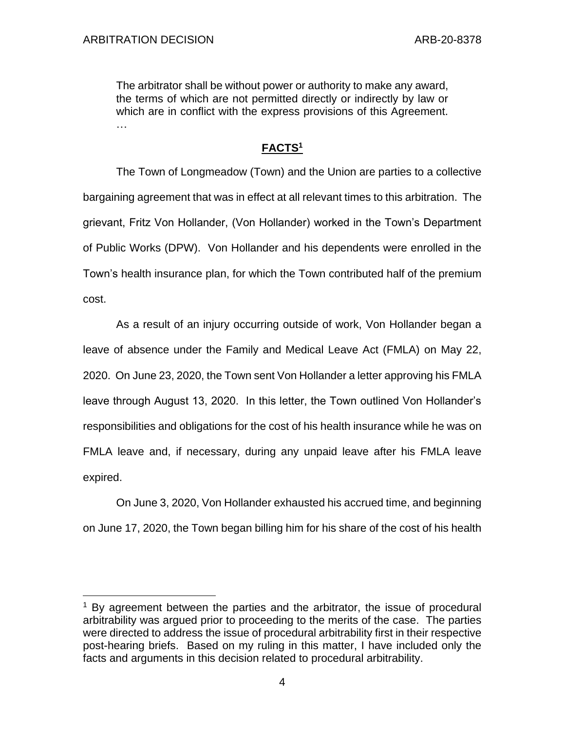The arbitrator shall be without power or authority to make any award, the terms of which are not permitted directly or indirectly by law or which are in conflict with the express provisions of this Agreement. …

# **FACTS<sup>1</sup>**

The Town of Longmeadow (Town) and the Union are parties to a collective bargaining agreement that was in effect at all relevant times to this arbitration. The grievant, Fritz Von Hollander, (Von Hollander) worked in the Town's Department of Public Works (DPW). Von Hollander and his dependents were enrolled in the Town's health insurance plan, for which the Town contributed half of the premium cost.

As a result of an injury occurring outside of work, Von Hollander began a leave of absence under the Family and Medical Leave Act (FMLA) on May 22, 2020. On June 23, 2020, the Town sent Von Hollander a letter approving his FMLA leave through August 13, 2020. In this letter, the Town outlined Von Hollander's responsibilities and obligations for the cost of his health insurance while he was on FMLA leave and, if necessary, during any unpaid leave after his FMLA leave expired.

On June 3, 2020, Von Hollander exhausted his accrued time, and beginning on June 17, 2020, the Town began billing him for his share of the cost of his health

<sup>&</sup>lt;sup>1</sup> By agreement between the parties and the arbitrator, the issue of procedural arbitrability was argued prior to proceeding to the merits of the case. The parties were directed to address the issue of procedural arbitrability first in their respective post-hearing briefs. Based on my ruling in this matter, I have included only the facts and arguments in this decision related to procedural arbitrability.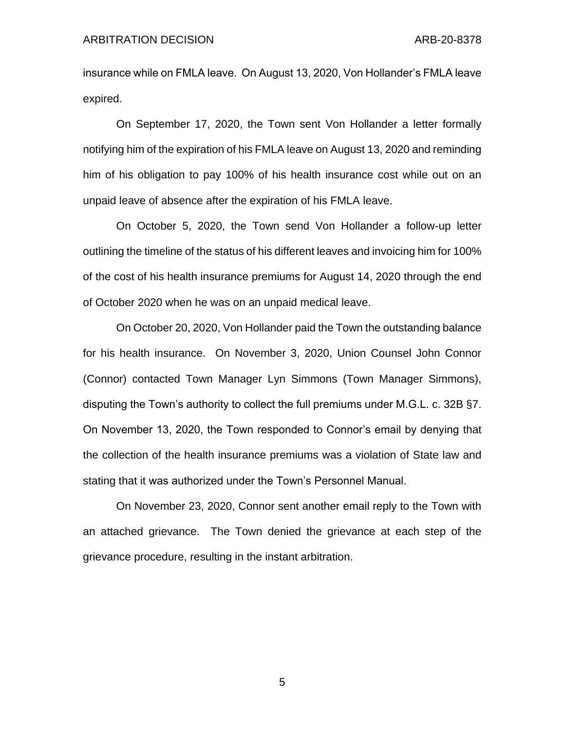insurance while on FMLA leave. On August 13, 2020, Von Hollander's FMLA leave expired.

On September 17, 2020, the Town sent Von Hollander a letter formally notifying him of the expiration of his FMLA leave on August 13, 2020 and reminding him of his obligation to pay 100% of his health insurance cost while out on an unpaid leave of absence after the expiration of his FMLA leave.

On October 5, 2020, the Town send Von Hollander a follow-up letter outlining the timeline of the status of his different leaves and invoicing him for 100% of the cost of his health insurance premiums for August 14, 2020 through the end of October 2020 when he was on an unpaid medical leave.

On October 20, 2020, Von Hollander paid the Town the outstanding balance for his health insurance. On November 3, 2020, Union Counsel John Connor (Connor) contacted Town Manager Lyn Simmons (Town Manager Simmons), disputing the Town's authority to collect the full premiums under M.G.L. c. 32B §7. On November 13, 2020, the Town responded to Connor's email by denying that the collection of the health insurance premiums was a violation of State law and stating that it was authorized under the Town's Personnel Manual.

On November 23, 2020, Connor sent another email reply to the Town with an attached grievance. The Town denied the grievance at each step of the grievance procedure, resulting in the instant arbitration.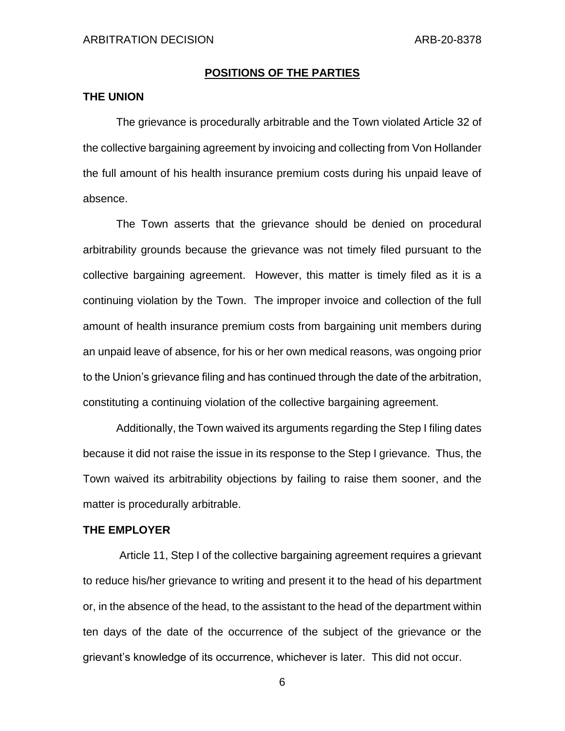### **POSITIONS OF THE PARTIES**

### **THE UNION**

The grievance is procedurally arbitrable and the Town violated Article 32 of the collective bargaining agreement by invoicing and collecting from Von Hollander the full amount of his health insurance premium costs during his unpaid leave of absence.

The Town asserts that the grievance should be denied on procedural arbitrability grounds because the grievance was not timely filed pursuant to the collective bargaining agreement. However, this matter is timely filed as it is a continuing violation by the Town. The improper invoice and collection of the full amount of health insurance premium costs from bargaining unit members during an unpaid leave of absence, for his or her own medical reasons, was ongoing prior to the Union's grievance filing and has continued through the date of the arbitration, constituting a continuing violation of the collective bargaining agreement.

Additionally, the Town waived its arguments regarding the Step I filing dates because it did not raise the issue in its response to the Step I grievance. Thus, the Town waived its arbitrability objections by failing to raise them sooner, and the matter is procedurally arbitrable.

#### **THE EMPLOYER**

Article 11, Step I of the collective bargaining agreement requires a grievant to reduce his/her grievance to writing and present it to the head of his department or, in the absence of the head, to the assistant to the head of the department within ten days of the date of the occurrence of the subject of the grievance or the grievant's knowledge of its occurrence, whichever is later. This did not occur.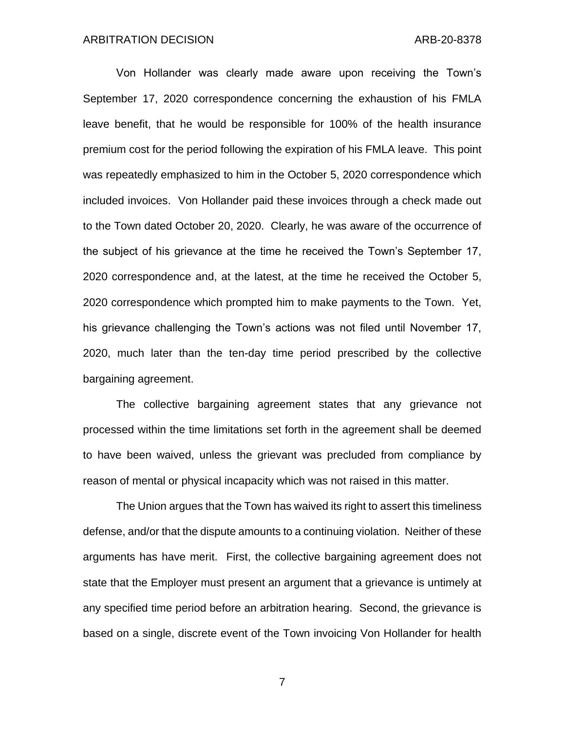Von Hollander was clearly made aware upon receiving the Town's September 17, 2020 correspondence concerning the exhaustion of his FMLA leave benefit, that he would be responsible for 100% of the health insurance premium cost for the period following the expiration of his FMLA leave. This point was repeatedly emphasized to him in the October 5, 2020 correspondence which included invoices. Von Hollander paid these invoices through a check made out to the Town dated October 20, 2020. Clearly, he was aware of the occurrence of the subject of his grievance at the time he received the Town's September 17, 2020 correspondence and, at the latest, at the time he received the October 5, 2020 correspondence which prompted him to make payments to the Town. Yet, his grievance challenging the Town's actions was not filed until November 17, 2020, much later than the ten-day time period prescribed by the collective bargaining agreement.

The collective bargaining agreement states that any grievance not processed within the time limitations set forth in the agreement shall be deemed to have been waived, unless the grievant was precluded from compliance by reason of mental or physical incapacity which was not raised in this matter.

The Union argues that the Town has waived its right to assert this timeliness defense, and/or that the dispute amounts to a continuing violation. Neither of these arguments has have merit. First, the collective bargaining agreement does not state that the Employer must present an argument that a grievance is untimely at any specified time period before an arbitration hearing. Second, the grievance is based on a single, discrete event of the Town invoicing Von Hollander for health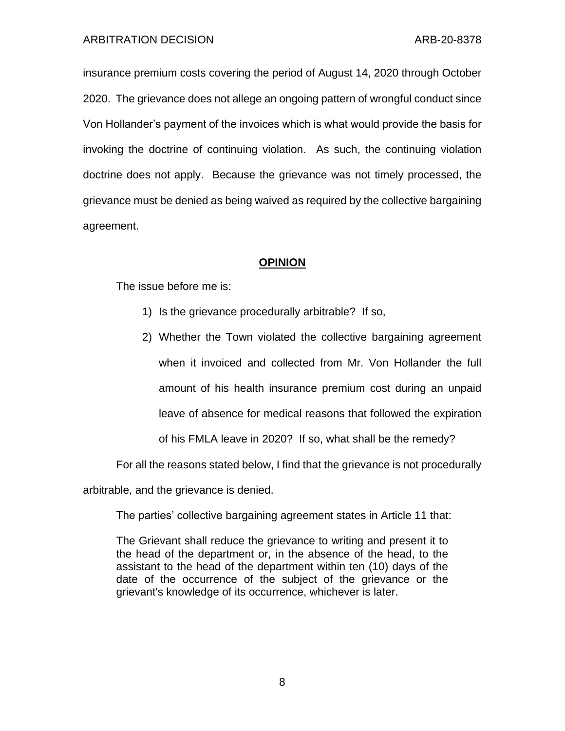insurance premium costs covering the period of August 14, 2020 through October 2020. The grievance does not allege an ongoing pattern of wrongful conduct since Von Hollander's payment of the invoices which is what would provide the basis for invoking the doctrine of continuing violation. As such, the continuing violation doctrine does not apply. Because the grievance was not timely processed, the grievance must be denied as being waived as required by the collective bargaining agreement.

## **OPINION**

The issue before me is:

- 1) Is the grievance procedurally arbitrable? If so,
- 2) Whether the Town violated the collective bargaining agreement when it invoiced and collected from Mr. Von Hollander the full amount of his health insurance premium cost during an unpaid leave of absence for medical reasons that followed the expiration of his FMLA leave in 2020? If so, what shall be the remedy?

For all the reasons stated below, I find that the grievance is not procedurally

arbitrable, and the grievance is denied.

The parties' collective bargaining agreement states in Article 11 that:

The Grievant shall reduce the grievance to writing and present it to the head of the department or, in the absence of the head, to the assistant to the head of the department within ten (10) days of the date of the occurrence of the subject of the grievance or the grievant's knowledge of its occurrence, whichever is later.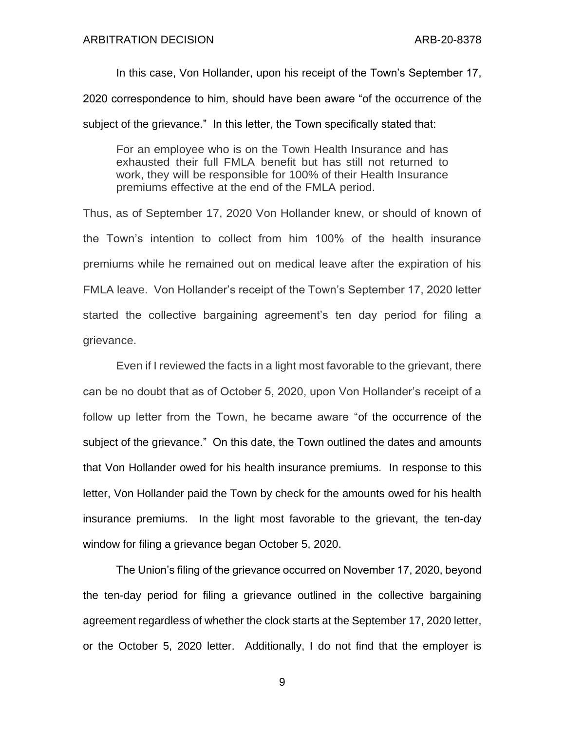In this case, Von Hollander, upon his receipt of the Town's September 17, 2020 correspondence to him, should have been aware "of the occurrence of the subject of the grievance." In this letter, the Town specifically stated that:

For an employee who is on the Town Health Insurance and has exhausted their full FMLA benefit but has still not returned to work, they will be responsible for 100% of their Health Insurance premiums effective at the end of the FMLA period.

Thus, as of September 17, 2020 Von Hollander knew, or should of known of the Town's intention to collect from him 100% of the health insurance premiums while he remained out on medical leave after the expiration of his FMLA leave. Von Hollander's receipt of the Town's September 17, 2020 letter started the collective bargaining agreement's ten day period for filing a grievance.

Even if I reviewed the facts in a light most favorable to the grievant, there can be no doubt that as of October 5, 2020, upon Von Hollander's receipt of a follow up letter from the Town, he became aware "of the occurrence of the subject of the grievance." On this date, the Town outlined the dates and amounts that Von Hollander owed for his health insurance premiums. In response to this letter, Von Hollander paid the Town by check for the amounts owed for his health insurance premiums. In the light most favorable to the grievant, the ten-day window for filing a grievance began October 5, 2020.

The Union's filing of the grievance occurred on November 17, 2020, beyond the ten-day period for filing a grievance outlined in the collective bargaining agreement regardless of whether the clock starts at the September 17, 2020 letter, or the October 5, 2020 letter. Additionally, I do not find that the employer is